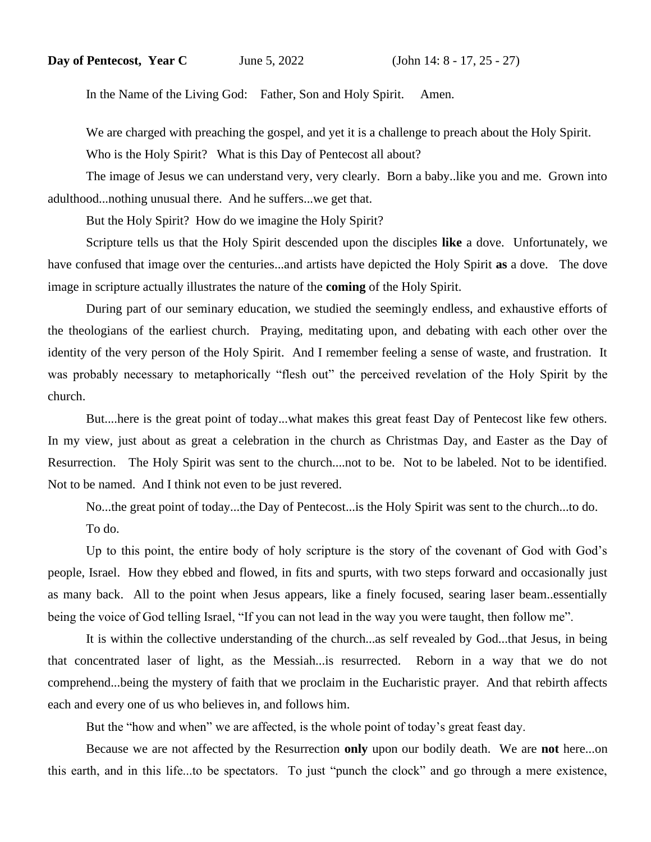In the Name of the Living God: Father, Son and Holy Spirit. Amen.

We are charged with preaching the gospel, and yet it is a challenge to preach about the Holy Spirit.

Who is the Holy Spirit? What is this Day of Pentecost all about?

The image of Jesus we can understand very, very clearly. Born a baby..like you and me. Grown into adulthood...nothing unusual there. And he suffers...we get that.

But the Holy Spirit? How do we imagine the Holy Spirit?

Scripture tells us that the Holy Spirit descended upon the disciples **like** a dove. Unfortunately, we have confused that image over the centuries...and artists have depicted the Holy Spirit **as** a dove. The dove image in scripture actually illustrates the nature of the **coming** of the Holy Spirit.

During part of our seminary education, we studied the seemingly endless, and exhaustive efforts of the theologians of the earliest church. Praying, meditating upon, and debating with each other over the identity of the very person of the Holy Spirit. And I remember feeling a sense of waste, and frustration. It was probably necessary to metaphorically "flesh out" the perceived revelation of the Holy Spirit by the church.

But....here is the great point of today...what makes this great feast Day of Pentecost like few others. In my view, just about as great a celebration in the church as Christmas Day, and Easter as the Day of Resurrection. The Holy Spirit was sent to the church....not to be. Not to be labeled. Not to be identified. Not to be named. And I think not even to be just revered.

No...the great point of today...the Day of Pentecost...is the Holy Spirit was sent to the church...to do. To do.

Up to this point, the entire body of holy scripture is the story of the covenant of God with God's people, Israel. How they ebbed and flowed, in fits and spurts, with two steps forward and occasionally just as many back. All to the point when Jesus appears, like a finely focused, searing laser beam..essentially being the voice of God telling Israel, "If you can not lead in the way you were taught, then follow me".

It is within the collective understanding of the church...as self revealed by God...that Jesus, in being that concentrated laser of light, as the Messiah...is resurrected. Reborn in a way that we do not comprehend...being the mystery of faith that we proclaim in the Eucharistic prayer. And that rebirth affects each and every one of us who believes in, and follows him.

But the "how and when" we are affected, is the whole point of today's great feast day.

Because we are not affected by the Resurrection **only** upon our bodily death. We are **not** here...on this earth, and in this life...to be spectators. To just "punch the clock" and go through a mere existence,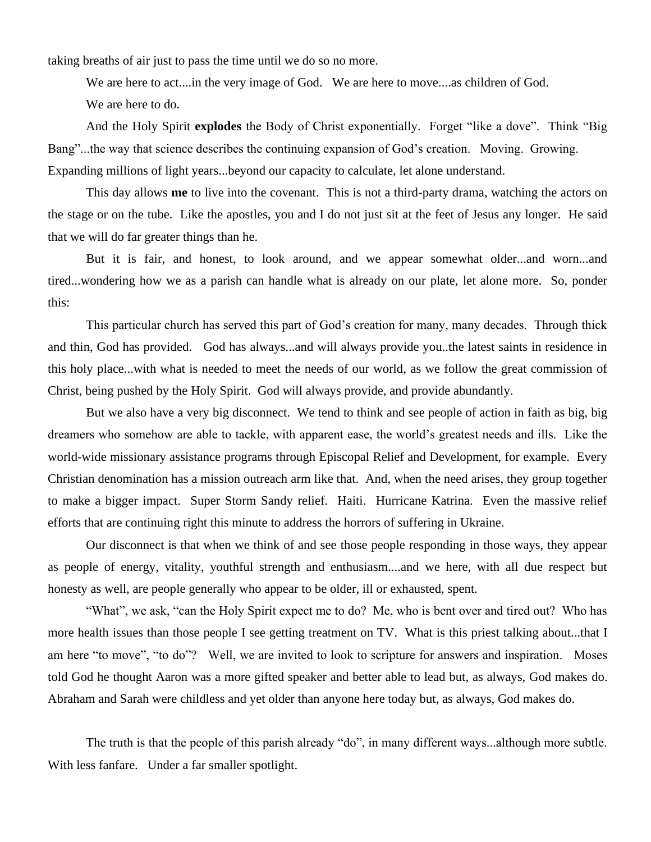taking breaths of air just to pass the time until we do so no more.

We are here to act....in the very image of God. We are here to move....as children of God.

We are here to do.

And the Holy Spirit **explodes** the Body of Christ exponentially. Forget "like a dove". Think "Big Bang"...the way that science describes the continuing expansion of God's creation. Moving. Growing. Expanding millions of light years...beyond our capacity to calculate, let alone understand.

This day allows **me** to live into the covenant. This is not a third-party drama, watching the actors on the stage or on the tube. Like the apostles, you and I do not just sit at the feet of Jesus any longer. He said that we will do far greater things than he.

But it is fair, and honest, to look around, and we appear somewhat older...and worn...and tired...wondering how we as a parish can handle what is already on our plate, let alone more. So, ponder this:

This particular church has served this part of God's creation for many, many decades. Through thick and thin, God has provided. God has always...and will always provide you..the latest saints in residence in this holy place...with what is needed to meet the needs of our world, as we follow the great commission of Christ, being pushed by the Holy Spirit. God will always provide, and provide abundantly.

But we also have a very big disconnect. We tend to think and see people of action in faith as big, big dreamers who somehow are able to tackle, with apparent ease, the world's greatest needs and ills. Like the world-wide missionary assistance programs through Episcopal Relief and Development, for example. Every Christian denomination has a mission outreach arm like that. And, when the need arises, they group together to make a bigger impact. Super Storm Sandy relief. Haiti. Hurricane Katrina. Even the massive relief efforts that are continuing right this minute to address the horrors of suffering in Ukraine.

Our disconnect is that when we think of and see those people responding in those ways, they appear as people of energy, vitality, youthful strength and enthusiasm....and we here, with all due respect but honesty as well, are people generally who appear to be older, ill or exhausted, spent.

"What", we ask, "can the Holy Spirit expect me to do? Me, who is bent over and tired out? Who has more health issues than those people I see getting treatment on TV. What is this priest talking about...that I am here "to move", "to do"? Well, we are invited to look to scripture for answers and inspiration. Moses told God he thought Aaron was a more gifted speaker and better able to lead but, as always, God makes do. Abraham and Sarah were childless and yet older than anyone here today but, as always, God makes do.

The truth is that the people of this parish already "do", in many different ways...although more subtle. With less fanfare. Under a far smaller spotlight.